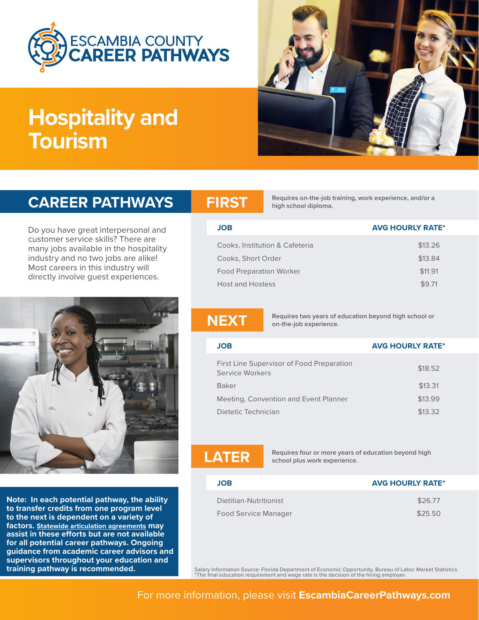

# **Hospitality and Tourism**



Do you have great interpersonal and customer service skills? There are many jobs available in the hospitality industry and no two jobs are alike! Most careers in this industry will directly involve guest experiences.



**Note: In each potential pathway, the ability to transfer credits from one program level to the next is dependent on a variety of factors. Statewide articulation agreements may assist in these efforts but are not available for all potential career pathways. Ongoing guidance from academic career advisors and supervisors throughout your education and** 

**Requires on-the-job training, work experience, and/or a CAREER PATHWAYS FIRST high school diploma.**

| <b>AVG HOURLY RATE*</b> |
|-------------------------|
| \$13.26                 |
| \$13.84                 |
| \$11.91                 |
| \$9.71                  |
|                         |

**Requires two years of education beyond high school or NEXT on-the-job experience.**

| <b>JOB</b>                                                   | <b>AVG HOURLY RATE*</b> |
|--------------------------------------------------------------|-------------------------|
| First Line Supervisor of Food Preparation<br>Service Workers | \$18.52                 |
| <b>Baker</b>                                                 | \$13.31                 |
| Meeting, Convention and Event Planner                        | \$13.99                 |
| Dietetic Technician                                          | \$13.32                 |

**Requires four or more years of education beyond high LATER school plus work experience.**

| <b>JOB</b>                  | <b>AVG HOURLY RATE*</b> |
|-----------------------------|-------------------------|
| Dietitian-Nutritionist      | \$26.77                 |
| <b>Food Service Manager</b> | \$25.50                 |

Salary Information Source: Florida Department of Economic Opportunity, Bureau of Labor Market Statistics. \*The final education requirement and wage rate is the decision of the hiring employer.